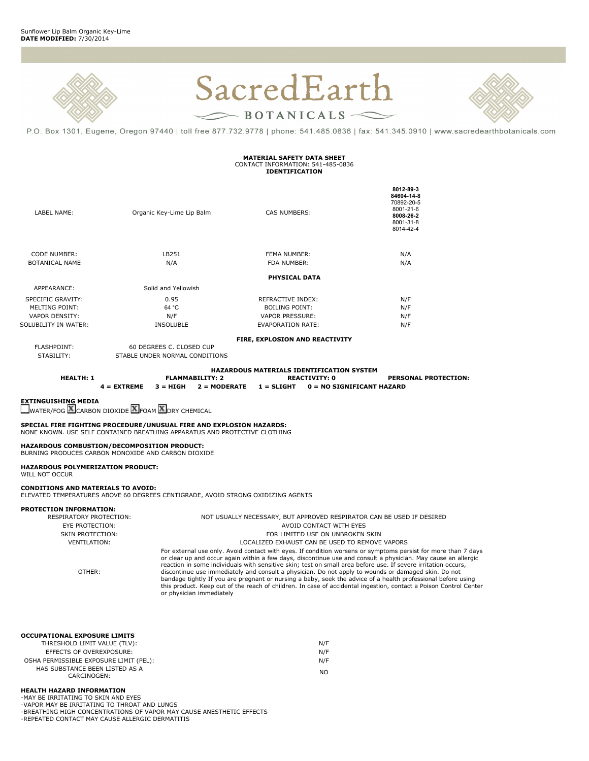



P.O. Box 1301, Eugene, Oregon 97440 | toll free 877.732.9778 | phone: 541.485.0836 | fax: 541.345.0910 | www.sacredearthbotanicals.com

#### **MATERIAL SAFETY DATA SHEET** CONTACT INFORMATION: 541-485-0836 **IDENTIFICATION**

| LABEL NAME:           | Organic Key-Lime Lip Balm | CAS NUMBERS:                   | 8012 89 3<br>84604-14-8<br>70892-20-5<br>8001-21-6<br>8008 26 2<br>8001-31-8<br>8014-42-4 |
|-----------------------|---------------------------|--------------------------------|-------------------------------------------------------------------------------------------|
| <b>CODE NUMBER:</b>   | LB251                     | <b>FEMA NUMBER:</b>            | N/A                                                                                       |
| <b>BOTANICAL NAME</b> | N/A                       | FDA NUMBER:                    | N/A                                                                                       |
|                       |                           | <b>PHYSICAL DATA</b>           |                                                                                           |
| APPEARANCE:           | Solid and Yellowish       |                                |                                                                                           |
| SPECIFIC GRAVITY:     | 0.95                      | REFRACTIVE INDEX:              | N/F                                                                                       |
| <b>MELTING POINT:</b> | 64 °C                     | <b>BOILING POINT:</b>          | N/F                                                                                       |
| <b>VAPOR DENSITY:</b> | N/F                       | <b>VAPOR PRESSURE:</b>         | N/F                                                                                       |
| SOLUBILITY IN WATER:  | <b>INSOLUBLE</b>          | <b>EVAPORATION RATE:</b>       | N/F                                                                                       |
|                       |                           | FIRE, EXPLOSION AND REACTIVITY |                                                                                           |
| <b>FLASHPOINT:</b>    | 60 DEGREES C. CLOSED CUP  |                                |                                                                                           |

STABILITY: STABLE UNDER NORMAL CONDITIONS

**HAZARDOUS MATERIALS IDENTIFICATION SYSTEM**<br>REACTIVITY: 0<br>REACTIVITY: 0 **HEALTH: 1 FLAMMABILITY: 2 REACTIVITY: 0 PERSONAL PROTECTION:**

**4 = EXTREME 3 = HIGH 2 = MODERATE 1 = SLIGHT 0 = NO SIGNIFICANT HAZARD**

**EXTINGUISHING MEDIA**

WATER/FOG **LA CARBON DIOXIDE LA FOAM LA DRY CHEMICAL** 

**SPECIAL FIRE FIGHTING PROCEDURE/UNUSUAL FIRE AND EXPLOSION HAZARDS:** NONE KNOWN. USE SELF CONTAINED BREATHING APPARATUS AND PROTECTIVE CLOTHING

**HAZARDOUS COMBUSTION/DECOMPOSITION PRODUCT:** BURNING PRODUCES CARBON MONOXIDE AND CARBON DIOXIDE

**HAZARDOUS POLYMERIZATION PRODUCT:** WILL NOT OCCUR

**CONDITIONS AND MATERIALS TO AVOID:** ELEVATED TEMPERATURES ABOVE 60 DEGREES CENTIGRADE, AVOID STRONG OXIDIZING AGENTS

### **PROTECTION INFORMATION:**

| RESPIRATORY PROTECTION: | NOT USUALLY NECESSARY, BUT APPROVED RESPIRATOR CAN BE USED IF DESIRED                                                                                                                                                          |
|-------------------------|--------------------------------------------------------------------------------------------------------------------------------------------------------------------------------------------------------------------------------|
| EYE PROTECTION:         | AVOID CONTACT WITH EYES                                                                                                                                                                                                        |
| <b>SKIN PROTECTION:</b> | FOR LIMITED USE ON UNBROKEN SKIN                                                                                                                                                                                               |
| VENTILATION:            | LOCALIZED EXHAUST CAN BE USED TO REMOVE VAPORS                                                                                                                                                                                 |
|                         | For external use only. Avoid contact with eyes. If condition worsens or symptoms persist for more than 7 days<br>or clear up and occur again within a few days, discontinue use and consult a physician. May cause an allergic |
| OTHER:                  | reaction in some individuals with sensitive skin; test on small area before use. If severe irritation occurs,                                                                                                                  |
|                         | discontinue use immediately and consult a physician. Do not apply to wounds or damaged skin. Do not                                                                                                                            |

discontinue use immediately and consult a physician. Do not apply to wounds or damaged skin. Do not<br>bandage tightly If you are pregnant or nursing a baby, seek the advice of a health professional before using<br>this product. or physician immediately

| <b>OCCUPATIONAL EXPOSURE LIMITS</b> |     |
|-------------------------------------|-----|
| THRESHOLD LIMIT VALUE (TLV):        | N/F |
| EFFECTS OF OVEREXPOSURE:            | N/F |

| ------------------------                      | .   |
|-----------------------------------------------|-----|
| OSHA PERMISSIBLE EXPOSURE LIMIT (PEL):        | N/F |
| HAS SUBSTANCE BEEN LISTED AS A<br>CARCINOGEN: | NΟ  |
|                                               |     |

# **HEALTH HAZARD INFORMATION**

-MAY BE IRRITATING TO SKIN AND EYES -VAPOR MAY BE IRRITATING TO THROAT AND LUNGS -BREATHING HIGH CONCENTRATIONS OF VAPOR MAY CAUSE ANESTHETIC EFFECTS -REPEATED CONTACT MAY CAUSE ALLERGIC DERMATITIS